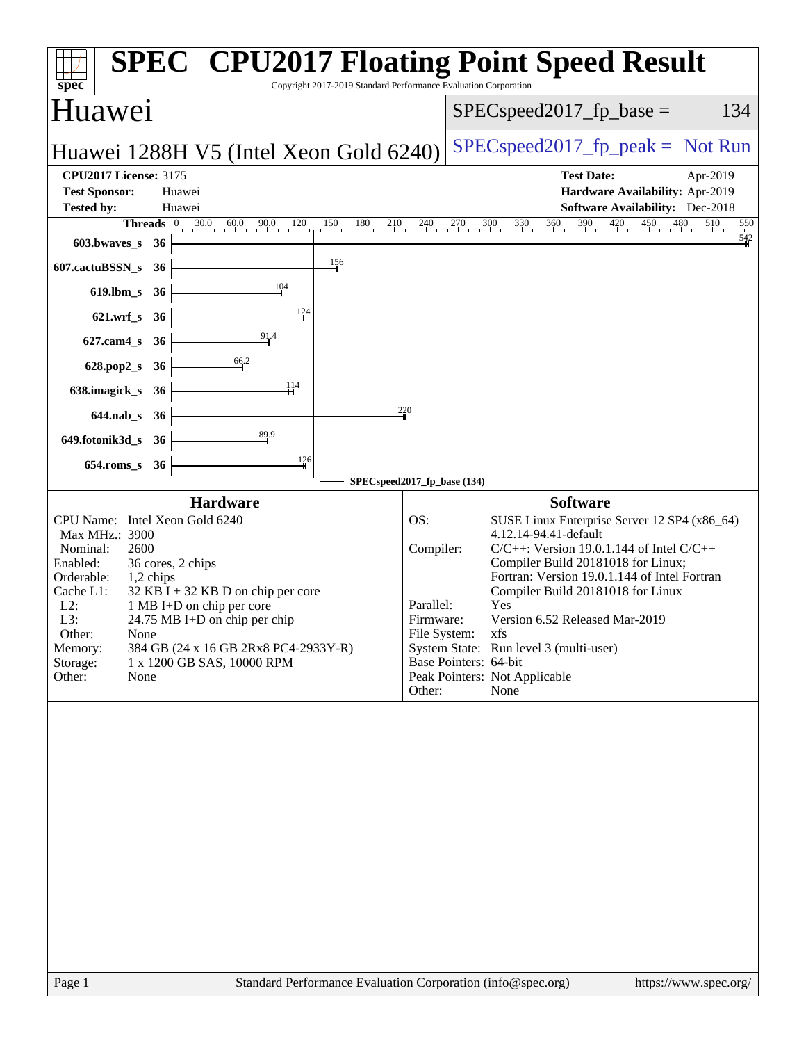| Copyright 2017-2019 Standard Performance Evaluation Corporation<br>$spec^*$                                                                                                                                                                                                                                                                                                                                              | <b>SPEC<sup>®</sup> CPU2017 Floating Point Speed Result</b>                                                                                                                                                                                                                                                                                                                                                                                                                                              |
|--------------------------------------------------------------------------------------------------------------------------------------------------------------------------------------------------------------------------------------------------------------------------------------------------------------------------------------------------------------------------------------------------------------------------|----------------------------------------------------------------------------------------------------------------------------------------------------------------------------------------------------------------------------------------------------------------------------------------------------------------------------------------------------------------------------------------------------------------------------------------------------------------------------------------------------------|
| <b>Huawei</b>                                                                                                                                                                                                                                                                                                                                                                                                            | $SPEC speed2017_fp\_base =$<br>134                                                                                                                                                                                                                                                                                                                                                                                                                                                                       |
| Huawei 1288H V5 (Intel Xeon Gold 6240)                                                                                                                                                                                                                                                                                                                                                                                   | $SPEC speed2017fr peak = Not Run$                                                                                                                                                                                                                                                                                                                                                                                                                                                                        |
| <b>CPU2017 License: 3175</b>                                                                                                                                                                                                                                                                                                                                                                                             | <b>Test Date:</b><br>Apr-2019                                                                                                                                                                                                                                                                                                                                                                                                                                                                            |
| <b>Test Sponsor:</b><br>Huawei<br><b>Tested by:</b><br>Huawei                                                                                                                                                                                                                                                                                                                                                            | Hardware Availability: Apr-2019<br><b>Software Availability:</b> Dec-2018                                                                                                                                                                                                                                                                                                                                                                                                                                |
| <b>Threads</b> $\begin{bmatrix} 0 & 30.0 & 60.0 & 90.0 & 120 \\ 0 & 0 & 0 & 0 & 0 \end{bmatrix}$                                                                                                                                                                                                                                                                                                                         | $150 \t 180 \t 210 \t 240 \t 270 \t 300 \t 330 \t 360 \t 390 \t 420 \t 450 \t 480$<br>510<br>550                                                                                                                                                                                                                                                                                                                                                                                                         |
| 603.bwaves_s<br>- 36                                                                                                                                                                                                                                                                                                                                                                                                     | $\frac{542}{1}$                                                                                                                                                                                                                                                                                                                                                                                                                                                                                          |
| 156<br>607.cactuBSSN_s<br>36                                                                                                                                                                                                                                                                                                                                                                                             |                                                                                                                                                                                                                                                                                                                                                                                                                                                                                                          |
| 104<br>619.lbm_s<br>36                                                                                                                                                                                                                                                                                                                                                                                                   |                                                                                                                                                                                                                                                                                                                                                                                                                                                                                                          |
| 124<br>$621.wrf$ <sub>S</sub><br>36                                                                                                                                                                                                                                                                                                                                                                                      |                                                                                                                                                                                                                                                                                                                                                                                                                                                                                                          |
| $627$ .cam $4_s$<br>36                                                                                                                                                                                                                                                                                                                                                                                                   |                                                                                                                                                                                                                                                                                                                                                                                                                                                                                                          |
| $\frac{66.2}{9}$<br>628.pop2_s<br>- 36                                                                                                                                                                                                                                                                                                                                                                                   |                                                                                                                                                                                                                                                                                                                                                                                                                                                                                                          |
| 114<br>638.imagick_s<br>- 36                                                                                                                                                                                                                                                                                                                                                                                             |                                                                                                                                                                                                                                                                                                                                                                                                                                                                                                          |
| $644$ .nab_s<br>- 36                                                                                                                                                                                                                                                                                                                                                                                                     | 220                                                                                                                                                                                                                                                                                                                                                                                                                                                                                                      |
| 89.9<br>649.fotonik3d_s 36                                                                                                                                                                                                                                                                                                                                                                                               |                                                                                                                                                                                                                                                                                                                                                                                                                                                                                                          |
| $\frac{126}{4}$<br>$654$ .roms_s<br>36                                                                                                                                                                                                                                                                                                                                                                                   |                                                                                                                                                                                                                                                                                                                                                                                                                                                                                                          |
|                                                                                                                                                                                                                                                                                                                                                                                                                          | SPECspeed2017_fp_base (134)                                                                                                                                                                                                                                                                                                                                                                                                                                                                              |
| <b>Hardware</b><br>CPU Name: Intel Xeon Gold 6240<br>Max MHz.: 3900<br>Nominal:<br>2600<br>36 cores, 2 chips<br>Enabled:<br>Orderable:<br>1,2 chips<br>$32$ KB I + 32 KB D on chip per core<br>Cache L1:<br>$L2$ :<br>1 MB I+D on chip per core<br>L3:<br>24.75 MB I+D on chip per chip<br>Other:<br>None<br>384 GB (24 x 16 GB 2Rx8 PC4-2933Y-R)<br>Memory:<br>Storage:<br>1 x 1200 GB SAS, 10000 RPM<br>Other:<br>None | <b>Software</b><br>SUSE Linux Enterprise Server 12 SP4 (x86_64)<br>OS:<br>4.12.14-94.41-default<br>$C/C++$ : Version 19.0.1.144 of Intel $C/C++$<br>Compiler:<br>Compiler Build 20181018 for Linux;<br>Fortran: Version 19.0.1.144 of Intel Fortran<br>Compiler Build 20181018 for Linux<br>Yes<br>Parallel:<br>Version 6.52 Released Mar-2019<br>Firmware:<br>File System:<br>xfs<br>System State: Run level 3 (multi-user)<br>Base Pointers: 64-bit<br>Peak Pointers: Not Applicable<br>Other:<br>None |
|                                                                                                                                                                                                                                                                                                                                                                                                                          |                                                                                                                                                                                                                                                                                                                                                                                                                                                                                                          |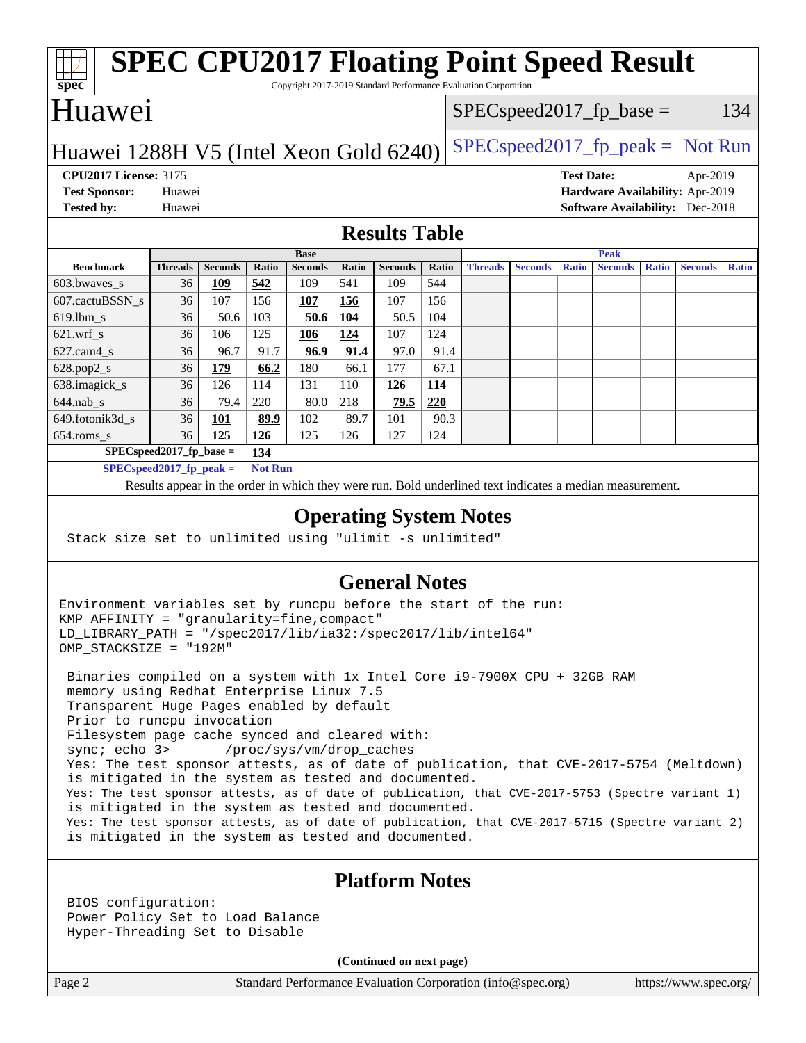#### **[spec](http://www.spec.org/) [SPEC CPU2017 Floating Point Speed Result](http://www.spec.org/auto/cpu2017/Docs/result-fields.html#SPECCPU2017FloatingPointSpeedResult)** Copyright 2017-2019 Standard Performance Evaluation Corporation Huawei Huawei 1288H V5 (Intel Xeon Gold  $6240$ ) [SPECspeed2017\\_fp\\_peak =](http://www.spec.org/auto/cpu2017/Docs/result-fields.html#SPECspeed2017fppeak) Not Run  $SPEC speed2017_fp\_base = 134$ **[CPU2017 License:](http://www.spec.org/auto/cpu2017/Docs/result-fields.html#CPU2017License)** 3175 **[Test Date:](http://www.spec.org/auto/cpu2017/Docs/result-fields.html#TestDate)** Apr-2019 **[Test Sponsor:](http://www.spec.org/auto/cpu2017/Docs/result-fields.html#TestSponsor)** Huawei **[Hardware Availability:](http://www.spec.org/auto/cpu2017/Docs/result-fields.html#HardwareAvailability)** Apr-2019 **[Tested by:](http://www.spec.org/auto/cpu2017/Docs/result-fields.html#Testedby)** Huawei **[Software Availability:](http://www.spec.org/auto/cpu2017/Docs/result-fields.html#SoftwareAvailability)** Dec-2018 **[Results Table](http://www.spec.org/auto/cpu2017/Docs/result-fields.html#ResultsTable) [Benchmark](http://www.spec.org/auto/cpu2017/Docs/result-fields.html#Benchmark) [Threads](http://www.spec.org/auto/cpu2017/Docs/result-fields.html#Threads) [Seconds](http://www.spec.org/auto/cpu2017/Docs/result-fields.html#Seconds) [Ratio](http://www.spec.org/auto/cpu2017/Docs/result-fields.html#Ratio) [Seconds](http://www.spec.org/auto/cpu2017/Docs/result-fields.html#Seconds) [Ratio](http://www.spec.org/auto/cpu2017/Docs/result-fields.html#Ratio) [Seconds](http://www.spec.org/auto/cpu2017/Docs/result-fields.html#Seconds) [Ratio](http://www.spec.org/auto/cpu2017/Docs/result-fields.html#Ratio) Base [Threads](http://www.spec.org/auto/cpu2017/Docs/result-fields.html#Threads) [Seconds](http://www.spec.org/auto/cpu2017/Docs/result-fields.html#Seconds) [Ratio](http://www.spec.org/auto/cpu2017/Docs/result-fields.html#Ratio) [Seconds](http://www.spec.org/auto/cpu2017/Docs/result-fields.html#Seconds) [Ratio](http://www.spec.org/auto/cpu2017/Docs/result-fields.html#Ratio) [Seconds](http://www.spec.org/auto/cpu2017/Docs/result-fields.html#Seconds) [Ratio](http://www.spec.org/auto/cpu2017/Docs/result-fields.html#Ratio) Peak** [603.bwaves\\_s](http://www.spec.org/auto/cpu2017/Docs/benchmarks/603.bwaves_s.html) 36 **[109](http://www.spec.org/auto/cpu2017/Docs/result-fields.html#Median) [542](http://www.spec.org/auto/cpu2017/Docs/result-fields.html#Median)** 109 541 109 544 [607.cactuBSSN\\_s](http://www.spec.org/auto/cpu2017/Docs/benchmarks/607.cactuBSSN_s.html) 36 107 156 **[107](http://www.spec.org/auto/cpu2017/Docs/result-fields.html#Median) [156](http://www.spec.org/auto/cpu2017/Docs/result-fields.html#Median)** 107 156 [619.lbm\\_s](http://www.spec.org/auto/cpu2017/Docs/benchmarks/619.lbm_s.html) 36 50.6 103 **[50.6](http://www.spec.org/auto/cpu2017/Docs/result-fields.html#Median) [104](http://www.spec.org/auto/cpu2017/Docs/result-fields.html#Median)** 50.5 104 [621.wrf\\_s](http://www.spec.org/auto/cpu2017/Docs/benchmarks/621.wrf_s.html) 36 106 125 **[106](http://www.spec.org/auto/cpu2017/Docs/result-fields.html#Median) [124](http://www.spec.org/auto/cpu2017/Docs/result-fields.html#Median)** 107 124 [627.cam4\\_s](http://www.spec.org/auto/cpu2017/Docs/benchmarks/627.cam4_s.html) 36 96.7 91.7 **[96.9](http://www.spec.org/auto/cpu2017/Docs/result-fields.html#Median) [91.4](http://www.spec.org/auto/cpu2017/Docs/result-fields.html#Median)** 97.0 91.4 [628.pop2\\_s](http://www.spec.org/auto/cpu2017/Docs/benchmarks/628.pop2_s.html) 36 **[179](http://www.spec.org/auto/cpu2017/Docs/result-fields.html#Median) [66.2](http://www.spec.org/auto/cpu2017/Docs/result-fields.html#Median)** 180 66.1 177 67.1 [638.imagick\\_s](http://www.spec.org/auto/cpu2017/Docs/benchmarks/638.imagick_s.html) 36 126 114 131 110 **[126](http://www.spec.org/auto/cpu2017/Docs/result-fields.html#Median) [114](http://www.spec.org/auto/cpu2017/Docs/result-fields.html#Median)** [644.nab\\_s](http://www.spec.org/auto/cpu2017/Docs/benchmarks/644.nab_s.html) 36 79.4 220 80.0 218 **[79.5](http://www.spec.org/auto/cpu2017/Docs/result-fields.html#Median) [220](http://www.spec.org/auto/cpu2017/Docs/result-fields.html#Median)** [649.fotonik3d\\_s](http://www.spec.org/auto/cpu2017/Docs/benchmarks/649.fotonik3d_s.html) 36 **[101](http://www.spec.org/auto/cpu2017/Docs/result-fields.html#Median) [89.9](http://www.spec.org/auto/cpu2017/Docs/result-fields.html#Median)** 102 89.7 101 90.3 [654.roms\\_s](http://www.spec.org/auto/cpu2017/Docs/benchmarks/654.roms_s.html) 36 **[125](http://www.spec.org/auto/cpu2017/Docs/result-fields.html#Median) [126](http://www.spec.org/auto/cpu2017/Docs/result-fields.html#Median)** 125 126 127 124 **[SPECspeed2017\\_fp\\_base =](http://www.spec.org/auto/cpu2017/Docs/result-fields.html#SPECspeed2017fpbase) 134 [SPECspeed2017\\_fp\\_peak =](http://www.spec.org/auto/cpu2017/Docs/result-fields.html#SPECspeed2017fppeak) Not Run** Results appear in the [order in which they were run.](http://www.spec.org/auto/cpu2017/Docs/result-fields.html#RunOrder) Bold underlined text [indicates a median measurement](http://www.spec.org/auto/cpu2017/Docs/result-fields.html#Median). **[Operating System Notes](http://www.spec.org/auto/cpu2017/Docs/result-fields.html#OperatingSystemNotes)** Stack size set to unlimited using "ulimit -s unlimited"

### **[General Notes](http://www.spec.org/auto/cpu2017/Docs/result-fields.html#GeneralNotes)**

Environment variables set by runcpu before the start of the run: KMP\_AFFINITY = "granularity=fine,compact" LD\_LIBRARY\_PATH = "/spec2017/lib/ia32:/spec2017/lib/intel64" OMP\_STACKSIZE = "192M"

 Binaries compiled on a system with 1x Intel Core i9-7900X CPU + 32GB RAM memory using Redhat Enterprise Linux 7.5 Transparent Huge Pages enabled by default Prior to runcpu invocation Filesystem page cache synced and cleared with: sync; echo 3> /proc/sys/vm/drop\_caches Yes: The test sponsor attests, as of date of publication, that CVE-2017-5754 (Meltdown) is mitigated in the system as tested and documented. Yes: The test sponsor attests, as of date of publication, that CVE-2017-5753 (Spectre variant 1) is mitigated in the system as tested and documented. Yes: The test sponsor attests, as of date of publication, that CVE-2017-5715 (Spectre variant 2) is mitigated in the system as tested and documented.

### **[Platform Notes](http://www.spec.org/auto/cpu2017/Docs/result-fields.html#PlatformNotes)**

 BIOS configuration: Power Policy Set to Load Balance Hyper-Threading Set to Disable

**(Continued on next page)**

Page 2 Standard Performance Evaluation Corporation [\(info@spec.org\)](mailto:info@spec.org) <https://www.spec.org/>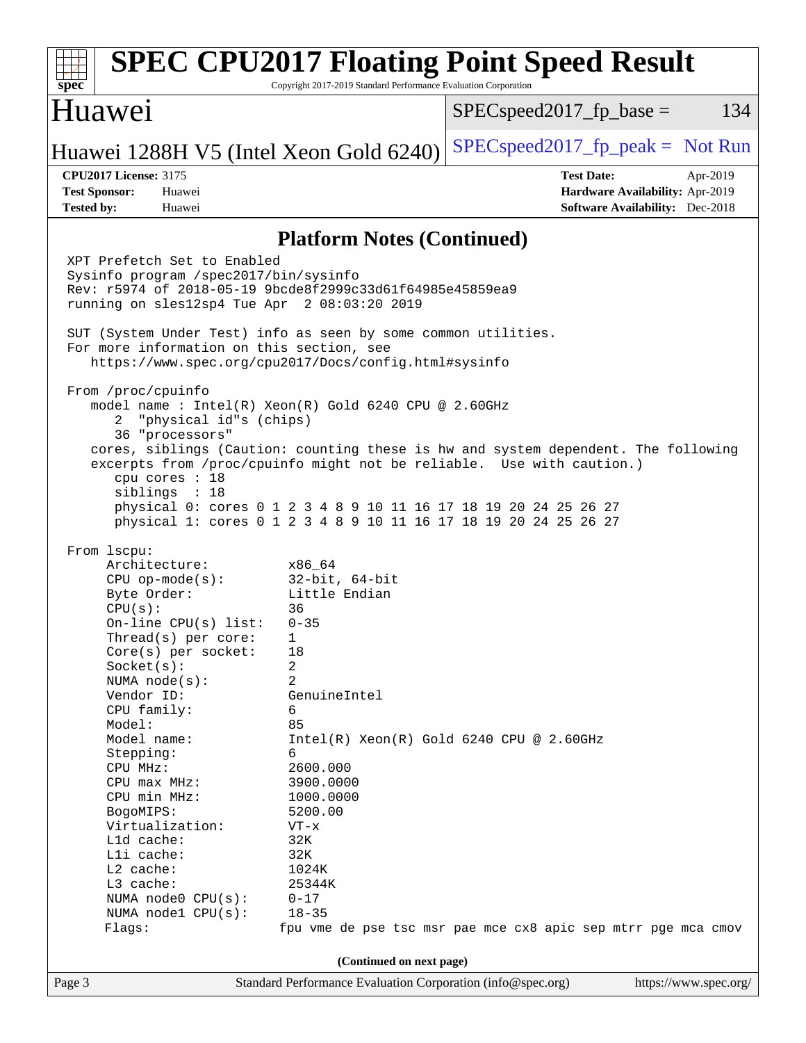| spec                                                                                                                                                                                                                                                                                                                                                                                                                                                                                                                                                                                                                                    | Copyright 2017-2019 Standard Performance Evaluation Corporation                                                                                                                     | <b>SPEC CPU2017 Floating Point Speed Result</b>                                                                                                                                                                                                                                                     |
|-----------------------------------------------------------------------------------------------------------------------------------------------------------------------------------------------------------------------------------------------------------------------------------------------------------------------------------------------------------------------------------------------------------------------------------------------------------------------------------------------------------------------------------------------------------------------------------------------------------------------------------------|-------------------------------------------------------------------------------------------------------------------------------------------------------------------------------------|-----------------------------------------------------------------------------------------------------------------------------------------------------------------------------------------------------------------------------------------------------------------------------------------------------|
| Huawei                                                                                                                                                                                                                                                                                                                                                                                                                                                                                                                                                                                                                                  |                                                                                                                                                                                     | $SPEC speed2017fr base =$<br>134                                                                                                                                                                                                                                                                    |
| Huawei 1288H V5 (Intel Xeon Gold 6240)                                                                                                                                                                                                                                                                                                                                                                                                                                                                                                                                                                                                  |                                                                                                                                                                                     | $SPEC speed2017fr peak = Not Run$                                                                                                                                                                                                                                                                   |
| <b>CPU2017 License: 3175</b><br><b>Test Sponsor:</b><br>Huawei<br><b>Tested by:</b><br>Huawei                                                                                                                                                                                                                                                                                                                                                                                                                                                                                                                                           |                                                                                                                                                                                     | <b>Test Date:</b><br>Apr-2019<br>Hardware Availability: Apr-2019<br><b>Software Availability:</b> Dec-2018                                                                                                                                                                                          |
|                                                                                                                                                                                                                                                                                                                                                                                                                                                                                                                                                                                                                                         | <b>Platform Notes (Continued)</b>                                                                                                                                                   |                                                                                                                                                                                                                                                                                                     |
| XPT Prefetch Set to Enabled<br>Sysinfo program /spec2017/bin/sysinfo<br>Rev: r5974 of 2018-05-19 9bcde8f2999c33d61f64985e45859ea9<br>running on sles12sp4 Tue Apr 2 08:03:20 2019<br>SUT (System Under Test) info as seen by some common utilities.<br>For more information on this section, see<br>https://www.spec.org/cpu2017/Docs/config.html#sysinfo<br>From /proc/cpuinfo<br>model name : Intel(R) Xeon(R) Gold 6240 CPU @ 2.60GHz<br>"physical id"s (chips)<br>2.<br>36 "processors"<br>cpu cores : 18<br>sibling: 18<br>From 1scpu:<br>Architecture:<br>$CPU$ op-mode( $s$ ):<br>Byte Order:<br>CPU(s):<br>On-line CPU(s) list: | x86 64<br>$32$ -bit, $64$ -bit<br>Little Endian<br>36<br>$0 - 35$                                                                                                                   | cores, siblings (Caution: counting these is hw and system dependent. The following<br>excerpts from /proc/cpuinfo might not be reliable. Use with caution.)<br>physical 0: cores 0 1 2 3 4 8 9 10 11 16 17 18 19 20 24 25 26 27<br>physical 1: cores 0 1 2 3 4 8 9 10 11 16 17 18 19 20 24 25 26 27 |
| Thread( $s$ ) per core:<br>$Core(s)$ per socket:<br>Socket(s):<br>NUMA $node(s)$ :<br>Vendor ID:<br>CPU family:<br>Model:<br>Model name:<br>Stepping:<br>CPU MHz:<br>CPU max MHz:<br>CPU min MHz:<br>BogoMIPS:<br>Virtualization:<br>L1d cache:<br>Lli cache:<br>L2 cache:<br>L3 cache:<br>NUMA node0 CPU(s):<br>NUMA nodel CPU(s):<br>Flaqs:                                                                                                                                                                                                                                                                                           | $\mathbf{1}$<br>18<br>2<br>2<br>GenuineIntel<br>6<br>85<br>6<br>2600.000<br>3900.0000<br>1000.0000<br>5200.00<br>$VT - x$<br>32K<br>32K<br>1024K<br>25344K<br>$0 - 17$<br>$18 - 35$ | $Intel(R) Xeon(R) Gold 6240 CPU @ 2.60GHz$<br>fpu vme de pse tsc msr pae mce cx8 apic sep mtrr pge mca cmov                                                                                                                                                                                         |
| Page 3                                                                                                                                                                                                                                                                                                                                                                                                                                                                                                                                                                                                                                  | (Continued on next page)<br>Standard Performance Evaluation Corporation (info@spec.org)                                                                                             | https://www.spec.org/                                                                                                                                                                                                                                                                               |
|                                                                                                                                                                                                                                                                                                                                                                                                                                                                                                                                                                                                                                         |                                                                                                                                                                                     |                                                                                                                                                                                                                                                                                                     |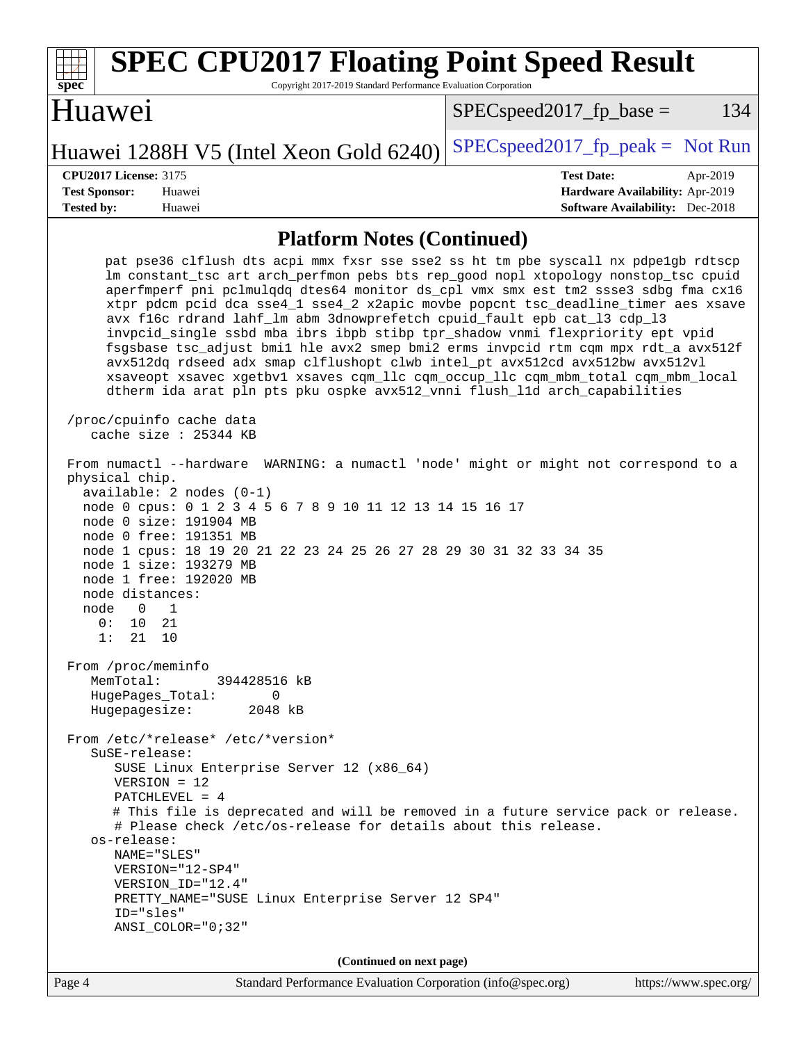| <b>SPEC CPU2017 Floating Point Speed Result</b><br>Copyright 2017-2019 Standard Performance Evaluation Corporation<br>spec <sup>®</sup>                                                                                                                                                                                                                                                                                                                                                                                                                                                                                                                                                                                                                                                                                                                  |                                                                                                            |
|----------------------------------------------------------------------------------------------------------------------------------------------------------------------------------------------------------------------------------------------------------------------------------------------------------------------------------------------------------------------------------------------------------------------------------------------------------------------------------------------------------------------------------------------------------------------------------------------------------------------------------------------------------------------------------------------------------------------------------------------------------------------------------------------------------------------------------------------------------|------------------------------------------------------------------------------------------------------------|
| Huawei                                                                                                                                                                                                                                                                                                                                                                                                                                                                                                                                                                                                                                                                                                                                                                                                                                                   | 134<br>$SPEC speed2017fp base =$                                                                           |
| Huawei 1288H V5 (Intel Xeon Gold 6240)                                                                                                                                                                                                                                                                                                                                                                                                                                                                                                                                                                                                                                                                                                                                                                                                                   | $SPEC speed2017fr peak = Not Run$                                                                          |
| <b>CPU2017 License: 3175</b><br><b>Test Sponsor:</b><br>Huawei<br><b>Tested by:</b><br>Huawei                                                                                                                                                                                                                                                                                                                                                                                                                                                                                                                                                                                                                                                                                                                                                            | <b>Test Date:</b><br>Apr-2019<br>Hardware Availability: Apr-2019<br><b>Software Availability:</b> Dec-2018 |
| <b>Platform Notes (Continued)</b>                                                                                                                                                                                                                                                                                                                                                                                                                                                                                                                                                                                                                                                                                                                                                                                                                        |                                                                                                            |
| pat pse36 clflush dts acpi mmx fxsr sse sse2 ss ht tm pbe syscall nx pdpelgb rdtscp<br>lm constant_tsc art arch_perfmon pebs bts rep_good nopl xtopology nonstop_tsc cpuid<br>aperfmperf pni pclmulqdq dtes64 monitor ds_cpl vmx smx est tm2 ssse3 sdbg fma cx16<br>xtpr pdcm pcid dca sse4_1 sse4_2 x2apic movbe popcnt tsc_deadline_timer aes xsave<br>avx f16c rdrand lahf_lm abm 3dnowprefetch cpuid_fault epb cat_13 cdp_13<br>invpcid_single ssbd mba ibrs ibpb stibp tpr_shadow vnmi flexpriority ept vpid<br>fsgsbase tsc_adjust bmil hle avx2 smep bmi2 erms invpcid rtm cqm mpx rdt_a avx512f<br>avx512dq rdseed adx smap clflushopt clwb intel_pt avx512cd avx512bw avx512vl<br>xsaveopt xsavec xgetbvl xsaves cqm_llc cqm_occup_llc cqm_mbm_total cqm_mbm_local<br>dtherm ida arat pln pts pku ospke avx512_vnni flush_lld arch_capabilities |                                                                                                            |
| /proc/cpuinfo cache data<br>cache size : 25344 KB                                                                                                                                                                                                                                                                                                                                                                                                                                                                                                                                                                                                                                                                                                                                                                                                        |                                                                                                            |
| From numactl --hardware WARNING: a numactl 'node' might or might not correspond to a<br>physical chip.<br>$available: 2 nodes (0-1)$<br>node 0 cpus: 0 1 2 3 4 5 6 7 8 9 10 11 12 13 14 15 16 17<br>node 0 size: 191904 MB<br>node 0 free: 191351 MB<br>node 1 cpus: 18 19 20 21 22 23 24 25 26 27 28 29 30 31 32 33 34 35<br>node 1 size: 193279 MB<br>node 1 free: 192020 MB<br>node distances:<br>1<br>node<br>$\Omega$<br>0 :<br>10<br>21<br>1: 21 10                                                                                                                                                                                                                                                                                                                                                                                                |                                                                                                            |
| From /proc/meminfo<br>MemTotal:<br>394428516 kB<br>HugePages_Total:<br>0<br>Hugepagesize:<br>2048 kB                                                                                                                                                                                                                                                                                                                                                                                                                                                                                                                                                                                                                                                                                                                                                     |                                                                                                            |
| From /etc/*release* /etc/*version*<br>SuSE-release:<br>SUSE Linux Enterprise Server 12 (x86_64)<br>$VERSION = 12$<br>PATCHLEVEL = $4$<br># This file is deprecated and will be removed in a future service pack or release.<br># Please check /etc/os-release for details about this release.<br>os-release:<br>NAME="SLES"<br>VERSION="12-SP4"<br>VERSION_ID="12.4"<br>PRETTY_NAME="SUSE Linux Enterprise Server 12 SP4"<br>ID="sles"<br>$ANSI$ _COLOR=" $0:32$ "                                                                                                                                                                                                                                                                                                                                                                                       |                                                                                                            |
| (Continued on next page)                                                                                                                                                                                                                                                                                                                                                                                                                                                                                                                                                                                                                                                                                                                                                                                                                                 |                                                                                                            |
| Page 4<br>Standard Performance Evaluation Corporation (info@spec.org)                                                                                                                                                                                                                                                                                                                                                                                                                                                                                                                                                                                                                                                                                                                                                                                    | https://www.spec.org/                                                                                      |

 $\sqrt{2}$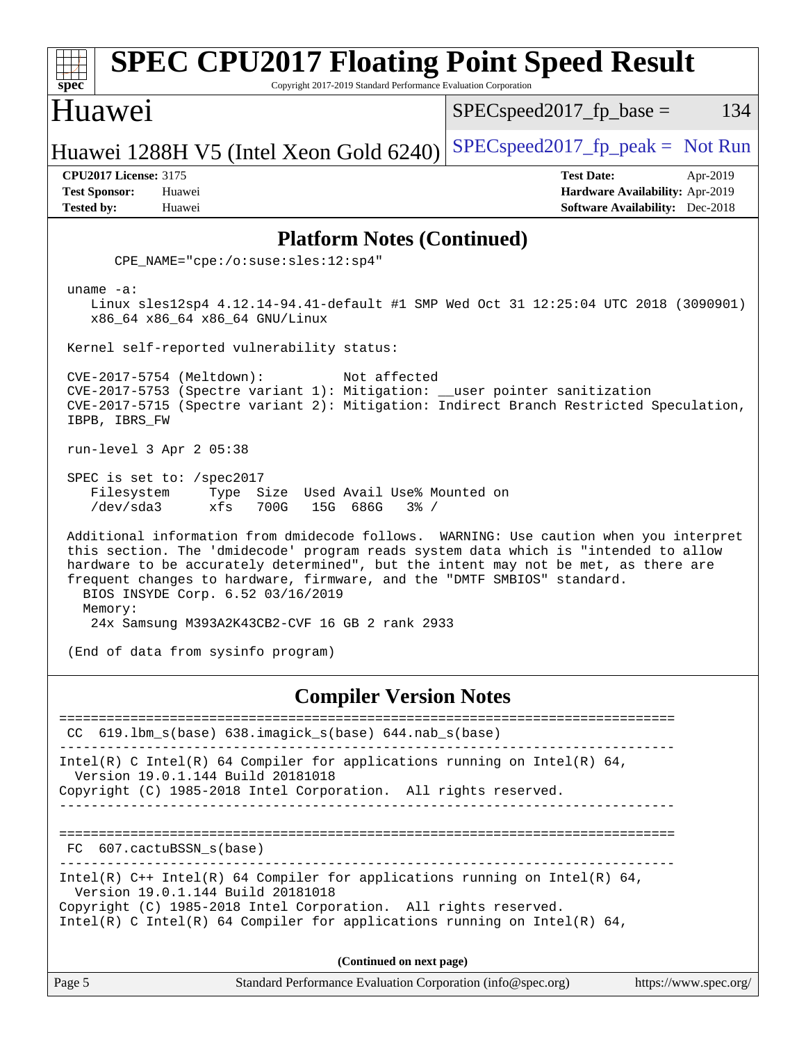| <b>SPEC CPU2017 Floating Point Speed Result</b><br>spec<br>Copyright 2017-2019 Standard Performance Evaluation Corporation                                                                                                                                                                                                                                                                     |                                                                                                            |  |  |
|------------------------------------------------------------------------------------------------------------------------------------------------------------------------------------------------------------------------------------------------------------------------------------------------------------------------------------------------------------------------------------------------|------------------------------------------------------------------------------------------------------------|--|--|
| <b>Huawei</b>                                                                                                                                                                                                                                                                                                                                                                                  | $SPEC speed2017fr base =$<br>134                                                                           |  |  |
| Huawei 1288H V5 (Intel Xeon Gold 6240)                                                                                                                                                                                                                                                                                                                                                         | $SPEC speed2017fr peak = Not Run$                                                                          |  |  |
| <b>CPU2017 License: 3175</b><br><b>Test Sponsor:</b><br>Huawei<br><b>Tested by:</b><br>Huawei                                                                                                                                                                                                                                                                                                  | <b>Test Date:</b><br>Apr-2019<br>Hardware Availability: Apr-2019<br><b>Software Availability:</b> Dec-2018 |  |  |
| <b>Platform Notes (Continued)</b>                                                                                                                                                                                                                                                                                                                                                              |                                                                                                            |  |  |
| $CPE\_NAME = "cpe://o:suse: sles:12:sp4"$                                                                                                                                                                                                                                                                                                                                                      |                                                                                                            |  |  |
| uname $-a$ :<br>Linux sles12sp4 4.12.14-94.41-default #1 SMP Wed Oct 31 12:25:04 UTC 2018 (3090901)<br>x86_64 x86_64 x86_64 GNU/Linux                                                                                                                                                                                                                                                          |                                                                                                            |  |  |
| Kernel self-reported vulnerability status:                                                                                                                                                                                                                                                                                                                                                     |                                                                                                            |  |  |
| CVE-2017-5754 (Meltdown):<br>Not affected<br>CVE-2017-5753 (Spectre variant 1): Mitigation: __user pointer sanitization<br>CVE-2017-5715 (Spectre variant 2): Mitigation: Indirect Branch Restricted Speculation,<br>IBPB, IBRS_FW                                                                                                                                                             |                                                                                                            |  |  |
| run-level 3 Apr 2 05:38                                                                                                                                                                                                                                                                                                                                                                        |                                                                                                            |  |  |
| SPEC is set to: /spec2017<br>Size Used Avail Use% Mounted on<br>Filesystem<br>Type<br>/dev/sda3<br>xfs<br>700G<br>15G 686G<br>$3\frac{6}{9}$ /                                                                                                                                                                                                                                                 |                                                                                                            |  |  |
| Additional information from dmidecode follows. WARNING: Use caution when you interpret<br>this section. The 'dmidecode' program reads system data which is "intended to allow<br>hardware to be accurately determined", but the intent may not be met, as there are<br>frequent changes to hardware, firmware, and the "DMTF SMBIOS" standard.<br>BIOS INSYDE Corp. 6.52 03/16/2019<br>Memory: |                                                                                                            |  |  |
| 24x Samsung M393A2K43CB2-CVF 16 GB 2 rank 2933                                                                                                                                                                                                                                                                                                                                                 |                                                                                                            |  |  |
| (End of data from sysinfo program)                                                                                                                                                                                                                                                                                                                                                             |                                                                                                            |  |  |
| <b>Compiler Version Notes</b>                                                                                                                                                                                                                                                                                                                                                                  |                                                                                                            |  |  |
| 619.1bm_s(base) 638.imagick_s(base) 644.nab_s(base)<br>CC.                                                                                                                                                                                                                                                                                                                                     | -----------------------                                                                                    |  |  |
| Intel(R) C Intel(R) 64 Compiler for applications running on Intel(R) 64,<br>Version 19.0.1.144 Build 20181018<br>Copyright (C) 1985-2018 Intel Corporation. All rights reserved.                                                                                                                                                                                                               |                                                                                                            |  |  |
|                                                                                                                                                                                                                                                                                                                                                                                                |                                                                                                            |  |  |
| FC 607.cactuBSSN_s(base)                                                                                                                                                                                                                                                                                                                                                                       |                                                                                                            |  |  |
| Intel(R) $C++$ Intel(R) 64 Compiler for applications running on Intel(R) 64,<br>Version 19.0.1.144 Build 20181018                                                                                                                                                                                                                                                                              |                                                                                                            |  |  |
| Copyright (C) 1985-2018 Intel Corporation. All rights reserved.<br>Intel(R) C Intel(R) 64 Compiler for applications running on Intel(R) 64,                                                                                                                                                                                                                                                    |                                                                                                            |  |  |
| (Continued on next page)                                                                                                                                                                                                                                                                                                                                                                       |                                                                                                            |  |  |
| Standard Performance Evaluation Corporation (info@spec.org)<br>Page 5                                                                                                                                                                                                                                                                                                                          | https://www.spec.org/                                                                                      |  |  |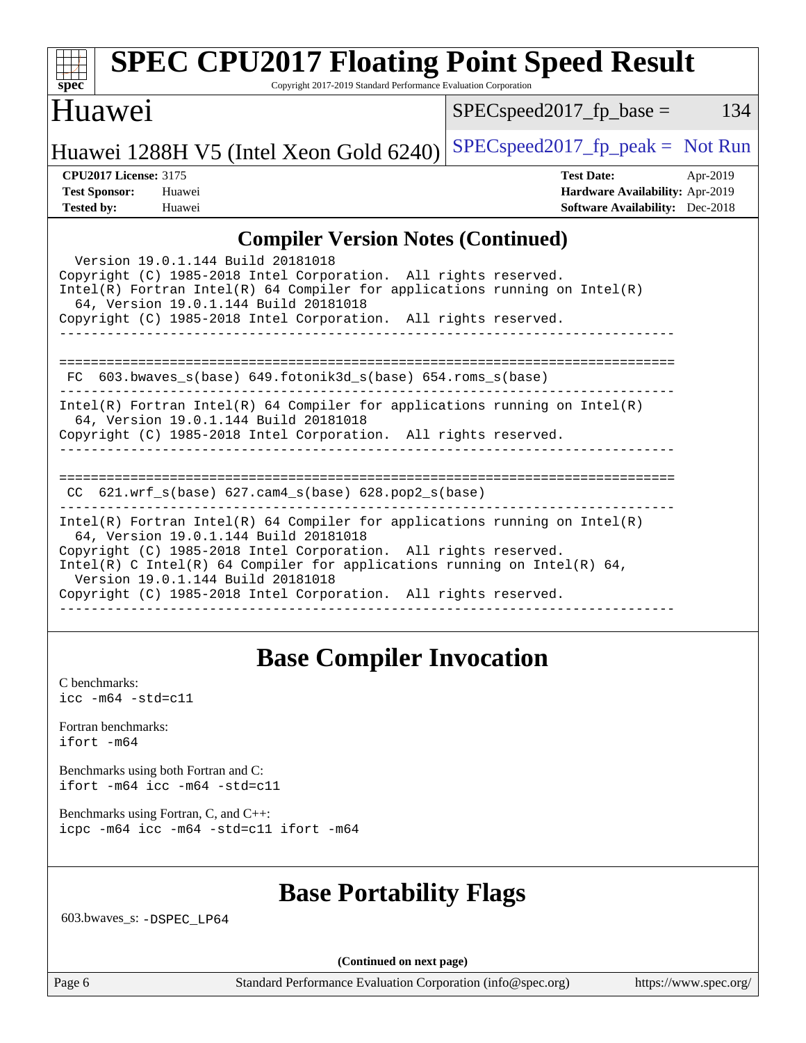| <b>SPEC CPU2017 Floating Point Speed Result</b>                                                                                                                                                                                                                                                                                                                                          |                                        |
|------------------------------------------------------------------------------------------------------------------------------------------------------------------------------------------------------------------------------------------------------------------------------------------------------------------------------------------------------------------------------------------|----------------------------------------|
| Copyright 2017-2019 Standard Performance Evaluation Corporation<br>$spec^*$                                                                                                                                                                                                                                                                                                              |                                        |
| Huawei                                                                                                                                                                                                                                                                                                                                                                                   | 134<br>$SPEC speed2017$ fp base =      |
| Huawei 1288H V5 (Intel Xeon Gold 6240)                                                                                                                                                                                                                                                                                                                                                   | $SPEC speed2017fr peak = Not Run$      |
| <b>CPU2017 License: 3175</b>                                                                                                                                                                                                                                                                                                                                                             | <b>Test Date:</b><br>Apr-2019          |
| <b>Test Sponsor:</b><br>Huawei                                                                                                                                                                                                                                                                                                                                                           | Hardware Availability: Apr-2019        |
| <b>Tested by:</b><br>Huawei                                                                                                                                                                                                                                                                                                                                                              | <b>Software Availability:</b> Dec-2018 |
| <b>Compiler Version Notes (Continued)</b>                                                                                                                                                                                                                                                                                                                                                |                                        |
| Version 19.0.1.144 Build 20181018<br>Copyright (C) 1985-2018 Intel Corporation. All rights reserved.<br>$Intel(R)$ Fortran Intel(R) 64 Compiler for applications running on Intel(R)<br>64, Version 19.0.1.144 Build 20181018<br>Copyright (C) 1985-2018 Intel Corporation. All rights reserved.<br>____________________<br>FC 603.bwaves_s(base) 649.fotonik3d_s(base) 654.roms_s(base) |                                        |
| $Intel(R)$ Fortran Intel(R) 64 Compiler for applications running on Intel(R)<br>64, Version 19.0.1.144 Build 20181018<br>Copyright (C) 1985-2018 Intel Corporation. All rights reserved.                                                                                                                                                                                                 |                                        |
| CC 621.wrf_s(base) 627.cam4_s(base) 628.pop2_s(base)                                                                                                                                                                                                                                                                                                                                     |                                        |
| $Intel(R)$ Fortran Intel(R) 64 Compiler for applications running on Intel(R)<br>64, Version 19.0.1.144 Build 20181018<br>Copyright (C) 1985-2018 Intel Corporation. All rights reserved.<br>Intel(R) C Intel(R) 64 Compiler for applications running on Intel(R) 64,<br>Version 19.0.1.144 Build 20181018<br>Copyright (C) 1985-2018 Intel Corporation. All rights reserved.             |                                        |

#### ------------------------------------------------------------------------------

# **[Base Compiler Invocation](http://www.spec.org/auto/cpu2017/Docs/result-fields.html#BaseCompilerInvocation)**

[C benchmarks](http://www.spec.org/auto/cpu2017/Docs/result-fields.html#Cbenchmarks): [icc -m64 -std=c11](http://www.spec.org/cpu2017/results/res2019q2/cpu2017-20190428-12519.flags.html#user_CCbase_intel_icc_64bit_c11_33ee0cdaae7deeeab2a9725423ba97205ce30f63b9926c2519791662299b76a0318f32ddfffdc46587804de3178b4f9328c46fa7c2b0cd779d7a61945c91cd35)

[Fortran benchmarks](http://www.spec.org/auto/cpu2017/Docs/result-fields.html#Fortranbenchmarks): [ifort -m64](http://www.spec.org/cpu2017/results/res2019q2/cpu2017-20190428-12519.flags.html#user_FCbase_intel_ifort_64bit_24f2bb282fbaeffd6157abe4f878425411749daecae9a33200eee2bee2fe76f3b89351d69a8130dd5949958ce389cf37ff59a95e7a40d588e8d3a57e0c3fd751)

[Benchmarks using both Fortran and C](http://www.spec.org/auto/cpu2017/Docs/result-fields.html#BenchmarksusingbothFortranandC): [ifort -m64](http://www.spec.org/cpu2017/results/res2019q2/cpu2017-20190428-12519.flags.html#user_CC_FCbase_intel_ifort_64bit_24f2bb282fbaeffd6157abe4f878425411749daecae9a33200eee2bee2fe76f3b89351d69a8130dd5949958ce389cf37ff59a95e7a40d588e8d3a57e0c3fd751) [icc -m64 -std=c11](http://www.spec.org/cpu2017/results/res2019q2/cpu2017-20190428-12519.flags.html#user_CC_FCbase_intel_icc_64bit_c11_33ee0cdaae7deeeab2a9725423ba97205ce30f63b9926c2519791662299b76a0318f32ddfffdc46587804de3178b4f9328c46fa7c2b0cd779d7a61945c91cd35)

[Benchmarks using Fortran, C, and C++:](http://www.spec.org/auto/cpu2017/Docs/result-fields.html#BenchmarksusingFortranCandCXX) [icpc -m64](http://www.spec.org/cpu2017/results/res2019q2/cpu2017-20190428-12519.flags.html#user_CC_CXX_FCbase_intel_icpc_64bit_4ecb2543ae3f1412ef961e0650ca070fec7b7afdcd6ed48761b84423119d1bf6bdf5cad15b44d48e7256388bc77273b966e5eb805aefd121eb22e9299b2ec9d9) [icc -m64 -std=c11](http://www.spec.org/cpu2017/results/res2019q2/cpu2017-20190428-12519.flags.html#user_CC_CXX_FCbase_intel_icc_64bit_c11_33ee0cdaae7deeeab2a9725423ba97205ce30f63b9926c2519791662299b76a0318f32ddfffdc46587804de3178b4f9328c46fa7c2b0cd779d7a61945c91cd35) [ifort -m64](http://www.spec.org/cpu2017/results/res2019q2/cpu2017-20190428-12519.flags.html#user_CC_CXX_FCbase_intel_ifort_64bit_24f2bb282fbaeffd6157abe4f878425411749daecae9a33200eee2bee2fe76f3b89351d69a8130dd5949958ce389cf37ff59a95e7a40d588e8d3a57e0c3fd751)

## **[Base Portability Flags](http://www.spec.org/auto/cpu2017/Docs/result-fields.html#BasePortabilityFlags)**

603.bwaves\_s: [-DSPEC\\_LP64](http://www.spec.org/cpu2017/results/res2019q2/cpu2017-20190428-12519.flags.html#suite_basePORTABILITY603_bwaves_s_DSPEC_LP64)

**(Continued on next page)**

Page 6 Standard Performance Evaluation Corporation [\(info@spec.org\)](mailto:info@spec.org) <https://www.spec.org/>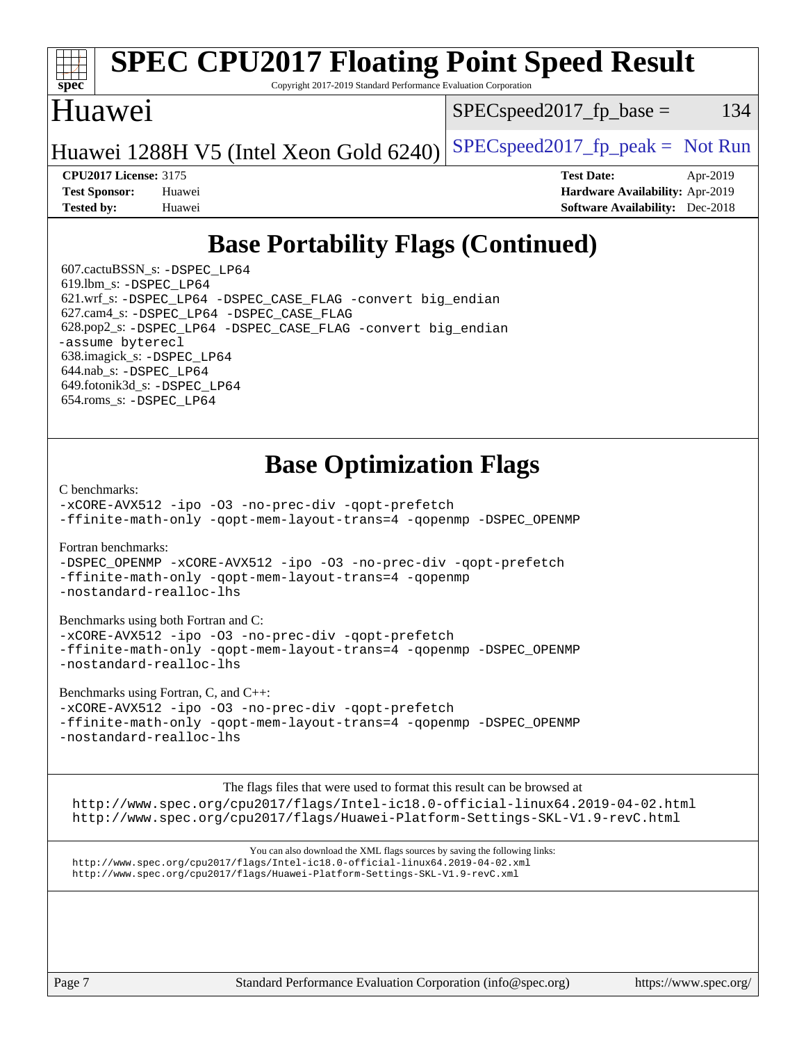### **[spec](http://www.spec.org/) [SPEC CPU2017 Floating Point Speed Result](http://www.spec.org/auto/cpu2017/Docs/result-fields.html#SPECCPU2017FloatingPointSpeedResult)** Copyright 2017-2019 Standard Performance Evaluation Corporation

## Huawei

 $SPEC speed2017_fp\_base = 134$ 

Huawei 1288H V5 (Intel Xeon Gold  $6240$ ) [SPECspeed2017\\_fp\\_peak =](http://www.spec.org/auto/cpu2017/Docs/result-fields.html#SPECspeed2017fppeak) Not Run

**[CPU2017 License:](http://www.spec.org/auto/cpu2017/Docs/result-fields.html#CPU2017License)** 3175 **[Test Date:](http://www.spec.org/auto/cpu2017/Docs/result-fields.html#TestDate)** Apr-2019 **[Test Sponsor:](http://www.spec.org/auto/cpu2017/Docs/result-fields.html#TestSponsor)** Huawei **[Hardware Availability:](http://www.spec.org/auto/cpu2017/Docs/result-fields.html#HardwareAvailability)** Apr-2019 **[Tested by:](http://www.spec.org/auto/cpu2017/Docs/result-fields.html#Testedby)** Huawei **[Software Availability:](http://www.spec.org/auto/cpu2017/Docs/result-fields.html#SoftwareAvailability)** Dec-2018

# **[Base Portability Flags \(Continued\)](http://www.spec.org/auto/cpu2017/Docs/result-fields.html#BasePortabilityFlags)**

 607.cactuBSSN\_s: [-DSPEC\\_LP64](http://www.spec.org/cpu2017/results/res2019q2/cpu2017-20190428-12519.flags.html#suite_basePORTABILITY607_cactuBSSN_s_DSPEC_LP64) 619.lbm\_s: [-DSPEC\\_LP64](http://www.spec.org/cpu2017/results/res2019q2/cpu2017-20190428-12519.flags.html#suite_basePORTABILITY619_lbm_s_DSPEC_LP64) 621.wrf\_s: [-DSPEC\\_LP64](http://www.spec.org/cpu2017/results/res2019q2/cpu2017-20190428-12519.flags.html#suite_basePORTABILITY621_wrf_s_DSPEC_LP64) [-DSPEC\\_CASE\\_FLAG](http://www.spec.org/cpu2017/results/res2019q2/cpu2017-20190428-12519.flags.html#b621.wrf_s_baseCPORTABILITY_DSPEC_CASE_FLAG) [-convert big\\_endian](http://www.spec.org/cpu2017/results/res2019q2/cpu2017-20190428-12519.flags.html#user_baseFPORTABILITY621_wrf_s_convert_big_endian_c3194028bc08c63ac5d04de18c48ce6d347e4e562e8892b8bdbdc0214820426deb8554edfa529a3fb25a586e65a3d812c835984020483e7e73212c4d31a38223) 627.cam4\_s: [-DSPEC\\_LP64](http://www.spec.org/cpu2017/results/res2019q2/cpu2017-20190428-12519.flags.html#suite_basePORTABILITY627_cam4_s_DSPEC_LP64) [-DSPEC\\_CASE\\_FLAG](http://www.spec.org/cpu2017/results/res2019q2/cpu2017-20190428-12519.flags.html#b627.cam4_s_baseCPORTABILITY_DSPEC_CASE_FLAG) 628.pop2\_s: [-DSPEC\\_LP64](http://www.spec.org/cpu2017/results/res2019q2/cpu2017-20190428-12519.flags.html#suite_basePORTABILITY628_pop2_s_DSPEC_LP64) [-DSPEC\\_CASE\\_FLAG](http://www.spec.org/cpu2017/results/res2019q2/cpu2017-20190428-12519.flags.html#b628.pop2_s_baseCPORTABILITY_DSPEC_CASE_FLAG) [-convert big\\_endian](http://www.spec.org/cpu2017/results/res2019q2/cpu2017-20190428-12519.flags.html#user_baseFPORTABILITY628_pop2_s_convert_big_endian_c3194028bc08c63ac5d04de18c48ce6d347e4e562e8892b8bdbdc0214820426deb8554edfa529a3fb25a586e65a3d812c835984020483e7e73212c4d31a38223) [-assume byterecl](http://www.spec.org/cpu2017/results/res2019q2/cpu2017-20190428-12519.flags.html#user_baseFPORTABILITY628_pop2_s_assume_byterecl_7e47d18b9513cf18525430bbf0f2177aa9bf368bc7a059c09b2c06a34b53bd3447c950d3f8d6c70e3faf3a05c8557d66a5798b567902e8849adc142926523472) 638.imagick\_s: [-DSPEC\\_LP64](http://www.spec.org/cpu2017/results/res2019q2/cpu2017-20190428-12519.flags.html#suite_basePORTABILITY638_imagick_s_DSPEC_LP64) 644.nab\_s: [-DSPEC\\_LP64](http://www.spec.org/cpu2017/results/res2019q2/cpu2017-20190428-12519.flags.html#suite_basePORTABILITY644_nab_s_DSPEC_LP64) 649.fotonik3d\_s: [-DSPEC\\_LP64](http://www.spec.org/cpu2017/results/res2019q2/cpu2017-20190428-12519.flags.html#suite_basePORTABILITY649_fotonik3d_s_DSPEC_LP64) 654.roms\_s: [-DSPEC\\_LP64](http://www.spec.org/cpu2017/results/res2019q2/cpu2017-20190428-12519.flags.html#suite_basePORTABILITY654_roms_s_DSPEC_LP64)

# **[Base Optimization Flags](http://www.spec.org/auto/cpu2017/Docs/result-fields.html#BaseOptimizationFlags)**

[C benchmarks](http://www.spec.org/auto/cpu2017/Docs/result-fields.html#Cbenchmarks):

[-xCORE-AVX512](http://www.spec.org/cpu2017/results/res2019q2/cpu2017-20190428-12519.flags.html#user_CCbase_f-xCORE-AVX512) [-ipo](http://www.spec.org/cpu2017/results/res2019q2/cpu2017-20190428-12519.flags.html#user_CCbase_f-ipo) [-O3](http://www.spec.org/cpu2017/results/res2019q2/cpu2017-20190428-12519.flags.html#user_CCbase_f-O3) [-no-prec-div](http://www.spec.org/cpu2017/results/res2019q2/cpu2017-20190428-12519.flags.html#user_CCbase_f-no-prec-div) [-qopt-prefetch](http://www.spec.org/cpu2017/results/res2019q2/cpu2017-20190428-12519.flags.html#user_CCbase_f-qopt-prefetch) [-ffinite-math-only](http://www.spec.org/cpu2017/results/res2019q2/cpu2017-20190428-12519.flags.html#user_CCbase_f_finite_math_only_cb91587bd2077682c4b38af759c288ed7c732db004271a9512da14a4f8007909a5f1427ecbf1a0fb78ff2a814402c6114ac565ca162485bbcae155b5e4258871) [-qopt-mem-layout-trans=4](http://www.spec.org/cpu2017/results/res2019q2/cpu2017-20190428-12519.flags.html#user_CCbase_f-qopt-mem-layout-trans_fa39e755916c150a61361b7846f310bcdf6f04e385ef281cadf3647acec3f0ae266d1a1d22d972a7087a248fd4e6ca390a3634700869573d231a252c784941a8) [-qopenmp](http://www.spec.org/cpu2017/results/res2019q2/cpu2017-20190428-12519.flags.html#user_CCbase_qopenmp_16be0c44f24f464004c6784a7acb94aca937f053568ce72f94b139a11c7c168634a55f6653758ddd83bcf7b8463e8028bb0b48b77bcddc6b78d5d95bb1df2967) [-DSPEC\\_OPENMP](http://www.spec.org/cpu2017/results/res2019q2/cpu2017-20190428-12519.flags.html#suite_CCbase_DSPEC_OPENMP)

[Fortran benchmarks](http://www.spec.org/auto/cpu2017/Docs/result-fields.html#Fortranbenchmarks):

[-DSPEC\\_OPENMP](http://www.spec.org/cpu2017/results/res2019q2/cpu2017-20190428-12519.flags.html#suite_FCbase_DSPEC_OPENMP) [-xCORE-AVX512](http://www.spec.org/cpu2017/results/res2019q2/cpu2017-20190428-12519.flags.html#user_FCbase_f-xCORE-AVX512) [-ipo](http://www.spec.org/cpu2017/results/res2019q2/cpu2017-20190428-12519.flags.html#user_FCbase_f-ipo) [-O3](http://www.spec.org/cpu2017/results/res2019q2/cpu2017-20190428-12519.flags.html#user_FCbase_f-O3) [-no-prec-div](http://www.spec.org/cpu2017/results/res2019q2/cpu2017-20190428-12519.flags.html#user_FCbase_f-no-prec-div) [-qopt-prefetch](http://www.spec.org/cpu2017/results/res2019q2/cpu2017-20190428-12519.flags.html#user_FCbase_f-qopt-prefetch) [-ffinite-math-only](http://www.spec.org/cpu2017/results/res2019q2/cpu2017-20190428-12519.flags.html#user_FCbase_f_finite_math_only_cb91587bd2077682c4b38af759c288ed7c732db004271a9512da14a4f8007909a5f1427ecbf1a0fb78ff2a814402c6114ac565ca162485bbcae155b5e4258871) [-qopt-mem-layout-trans=4](http://www.spec.org/cpu2017/results/res2019q2/cpu2017-20190428-12519.flags.html#user_FCbase_f-qopt-mem-layout-trans_fa39e755916c150a61361b7846f310bcdf6f04e385ef281cadf3647acec3f0ae266d1a1d22d972a7087a248fd4e6ca390a3634700869573d231a252c784941a8) [-qopenmp](http://www.spec.org/cpu2017/results/res2019q2/cpu2017-20190428-12519.flags.html#user_FCbase_qopenmp_16be0c44f24f464004c6784a7acb94aca937f053568ce72f94b139a11c7c168634a55f6653758ddd83bcf7b8463e8028bb0b48b77bcddc6b78d5d95bb1df2967) [-nostandard-realloc-lhs](http://www.spec.org/cpu2017/results/res2019q2/cpu2017-20190428-12519.flags.html#user_FCbase_f_2003_std_realloc_82b4557e90729c0f113870c07e44d33d6f5a304b4f63d4c15d2d0f1fab99f5daaed73bdb9275d9ae411527f28b936061aa8b9c8f2d63842963b95c9dd6426b8a)

[Benchmarks using both Fortran and C](http://www.spec.org/auto/cpu2017/Docs/result-fields.html#BenchmarksusingbothFortranandC):

[-xCORE-AVX512](http://www.spec.org/cpu2017/results/res2019q2/cpu2017-20190428-12519.flags.html#user_CC_FCbase_f-xCORE-AVX512) [-ipo](http://www.spec.org/cpu2017/results/res2019q2/cpu2017-20190428-12519.flags.html#user_CC_FCbase_f-ipo) [-O3](http://www.spec.org/cpu2017/results/res2019q2/cpu2017-20190428-12519.flags.html#user_CC_FCbase_f-O3) [-no-prec-div](http://www.spec.org/cpu2017/results/res2019q2/cpu2017-20190428-12519.flags.html#user_CC_FCbase_f-no-prec-div) [-qopt-prefetch](http://www.spec.org/cpu2017/results/res2019q2/cpu2017-20190428-12519.flags.html#user_CC_FCbase_f-qopt-prefetch) [-ffinite-math-only](http://www.spec.org/cpu2017/results/res2019q2/cpu2017-20190428-12519.flags.html#user_CC_FCbase_f_finite_math_only_cb91587bd2077682c4b38af759c288ed7c732db004271a9512da14a4f8007909a5f1427ecbf1a0fb78ff2a814402c6114ac565ca162485bbcae155b5e4258871) [-qopt-mem-layout-trans=4](http://www.spec.org/cpu2017/results/res2019q2/cpu2017-20190428-12519.flags.html#user_CC_FCbase_f-qopt-mem-layout-trans_fa39e755916c150a61361b7846f310bcdf6f04e385ef281cadf3647acec3f0ae266d1a1d22d972a7087a248fd4e6ca390a3634700869573d231a252c784941a8) [-qopenmp](http://www.spec.org/cpu2017/results/res2019q2/cpu2017-20190428-12519.flags.html#user_CC_FCbase_qopenmp_16be0c44f24f464004c6784a7acb94aca937f053568ce72f94b139a11c7c168634a55f6653758ddd83bcf7b8463e8028bb0b48b77bcddc6b78d5d95bb1df2967) [-DSPEC\\_OPENMP](http://www.spec.org/cpu2017/results/res2019q2/cpu2017-20190428-12519.flags.html#suite_CC_FCbase_DSPEC_OPENMP) [-nostandard-realloc-lhs](http://www.spec.org/cpu2017/results/res2019q2/cpu2017-20190428-12519.flags.html#user_CC_FCbase_f_2003_std_realloc_82b4557e90729c0f113870c07e44d33d6f5a304b4f63d4c15d2d0f1fab99f5daaed73bdb9275d9ae411527f28b936061aa8b9c8f2d63842963b95c9dd6426b8a)

[Benchmarks using Fortran, C, and C++:](http://www.spec.org/auto/cpu2017/Docs/result-fields.html#BenchmarksusingFortranCandCXX)

[-xCORE-AVX512](http://www.spec.org/cpu2017/results/res2019q2/cpu2017-20190428-12519.flags.html#user_CC_CXX_FCbase_f-xCORE-AVX512) [-ipo](http://www.spec.org/cpu2017/results/res2019q2/cpu2017-20190428-12519.flags.html#user_CC_CXX_FCbase_f-ipo) -03 [-no-prec-div](http://www.spec.org/cpu2017/results/res2019q2/cpu2017-20190428-12519.flags.html#user_CC_CXX_FCbase_f-no-prec-div) [-qopt-prefetch](http://www.spec.org/cpu2017/results/res2019q2/cpu2017-20190428-12519.flags.html#user_CC_CXX_FCbase_f-qopt-prefetch) [-ffinite-math-only](http://www.spec.org/cpu2017/results/res2019q2/cpu2017-20190428-12519.flags.html#user_CC_CXX_FCbase_f_finite_math_only_cb91587bd2077682c4b38af759c288ed7c732db004271a9512da14a4f8007909a5f1427ecbf1a0fb78ff2a814402c6114ac565ca162485bbcae155b5e4258871) [-qopt-mem-layout-trans=4](http://www.spec.org/cpu2017/results/res2019q2/cpu2017-20190428-12519.flags.html#user_CC_CXX_FCbase_f-qopt-mem-layout-trans_fa39e755916c150a61361b7846f310bcdf6f04e385ef281cadf3647acec3f0ae266d1a1d22d972a7087a248fd4e6ca390a3634700869573d231a252c784941a8) [-qopenmp](http://www.spec.org/cpu2017/results/res2019q2/cpu2017-20190428-12519.flags.html#user_CC_CXX_FCbase_qopenmp_16be0c44f24f464004c6784a7acb94aca937f053568ce72f94b139a11c7c168634a55f6653758ddd83bcf7b8463e8028bb0b48b77bcddc6b78d5d95bb1df2967) [-DSPEC\\_OPENMP](http://www.spec.org/cpu2017/results/res2019q2/cpu2017-20190428-12519.flags.html#suite_CC_CXX_FCbase_DSPEC_OPENMP) [-nostandard-realloc-lhs](http://www.spec.org/cpu2017/results/res2019q2/cpu2017-20190428-12519.flags.html#user_CC_CXX_FCbase_f_2003_std_realloc_82b4557e90729c0f113870c07e44d33d6f5a304b4f63d4c15d2d0f1fab99f5daaed73bdb9275d9ae411527f28b936061aa8b9c8f2d63842963b95c9dd6426b8a)

The flags files that were used to format this result can be browsed at <http://www.spec.org/cpu2017/flags/Intel-ic18.0-official-linux64.2019-04-02.html> <http://www.spec.org/cpu2017/flags/Huawei-Platform-Settings-SKL-V1.9-revC.html>

You can also download the XML flags sources by saving the following links: <http://www.spec.org/cpu2017/flags/Intel-ic18.0-official-linux64.2019-04-02.xml> <http://www.spec.org/cpu2017/flags/Huawei-Platform-Settings-SKL-V1.9-revC.xml>